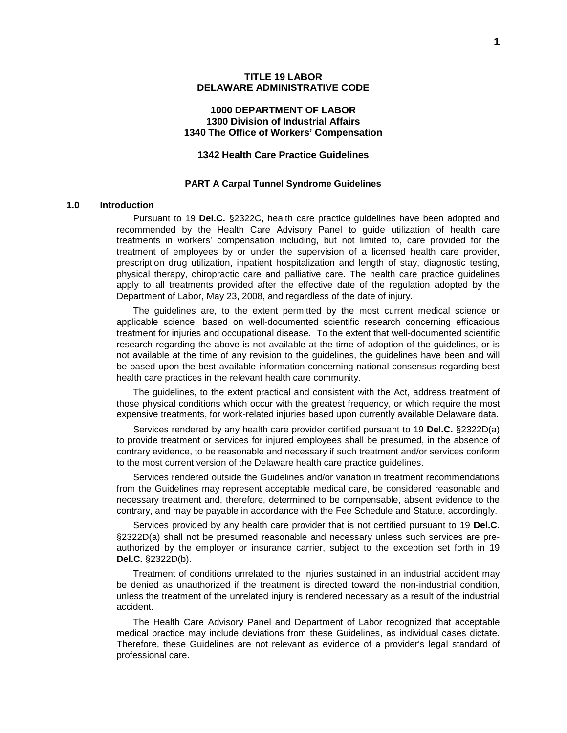## **1000 DEPARTMENT OF LABOR 1300 Division of Industrial Affairs 1340 The Office of Workers' Compensation**

## **1342 Health Care Practice Guidelines**

#### **PART A Carpal Tunnel Syndrome Guidelines**

## **1.0 Introduction**

Pursuant to 19 **Del.C.** §2322C, health care practice guidelines have been adopted and recommended by the Health Care Advisory Panel to guide utilization of health care treatments in workers' compensation including, but not limited to, care provided for the treatment of employees by or under the supervision of a licensed health care provider, prescription drug utilization, inpatient hospitalization and length of stay, diagnostic testing, physical therapy, chiropractic care and palliative care. The health care practice guidelines apply to all treatments provided after the effective date of the regulation adopted by the Department of Labor, May 23, 2008, and regardless of the date of injury.

The guidelines are, to the extent permitted by the most current medical science or applicable science, based on well-documented scientific research concerning efficacious treatment for injuries and occupational disease. To the extent that well-documented scientific research regarding the above is not available at the time of adoption of the guidelines, or is not available at the time of any revision to the guidelines, the guidelines have been and will be based upon the best available information concerning national consensus regarding best health care practices in the relevant health care community.

The guidelines, to the extent practical and consistent with the Act, address treatment of those physical conditions which occur with the greatest frequency, or which require the most expensive treatments, for work-related injuries based upon currently available Delaware data.

Services rendered by any health care provider certified pursuant to 19 **Del.C.** §2322D(a) to provide treatment or services for injured employees shall be presumed, in the absence of contrary evidence, to be reasonable and necessary if such treatment and/or services conform to the most current version of the Delaware health care practice guidelines.

Services rendered outside the Guidelines and/or variation in treatment recommendations from the Guidelines may represent acceptable medical care, be considered reasonable and necessary treatment and, therefore, determined to be compensable, absent evidence to the contrary, and may be payable in accordance with the Fee Schedule and Statute, accordingly.

Services provided by any health care provider that is not certified pursuant to 19 **Del.C.** §2322D(a) shall not be presumed reasonable and necessary unless such services are preauthorized by the employer or insurance carrier, subject to the exception set forth in 19 **Del.C.** §2322D(b).

Treatment of conditions unrelated to the injuries sustained in an industrial accident may be denied as unauthorized if the treatment is directed toward the non-industrial condition, unless the treatment of the unrelated injury is rendered necessary as a result of the industrial accident.

The Health Care Advisory Panel and Department of Labor recognized that acceptable medical practice may include deviations from these Guidelines, as individual cases dictate. Therefore, these Guidelines are not relevant as evidence of a provider's legal standard of professional care.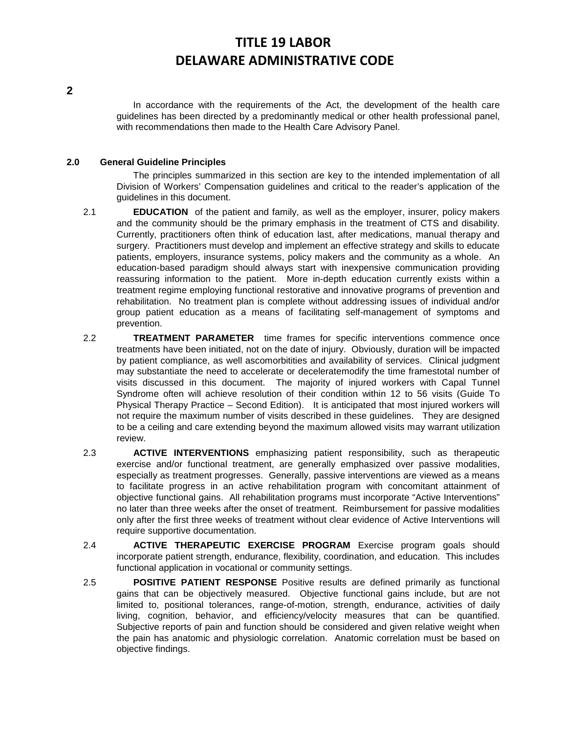In accordance with the requirements of the Act, the development of the health care guidelines has been directed by a predominantly medical or other health professional panel, with recommendations then made to the Health Care Advisory Panel.

## **2.0 General Guideline Principles**

The principles summarized in this section are key to the intended implementation of all Division of Workers' Compensation guidelines and critical to the reader's application of the guidelines in this document.

- 2.1 **EDUCATION** of the patient and family, as well as the employer, insurer, policy makers and the community should be the primary emphasis in the treatment of CTS and disability. Currently, practitioners often think of education last, after medications, manual therapy and surgery. Practitioners must develop and implement an effective strategy and skills to educate patients, employers, insurance systems, policy makers and the community as a whole. An education-based paradigm should always start with inexpensive communication providing reassuring information to the patient. More in-depth education currently exists within a treatment regime employing functional restorative and innovative programs of prevention and rehabilitation. No treatment plan is complete without addressing issues of individual and/or group patient education as a means of facilitating self-management of symptoms and prevention.
- 2.2 **TREATMENT PARAMETER** time frames for specific interventions commence once treatments have been initiated, not on the date of injury. Obviously, duration will be impacted by patient compliance, as well ascomorbitities and availability of services. Clinical judgment may substantiate the need to accelerate or deceleratemodify the time framestotal number of visits discussed in this document. The majority of injured workers with Capal Tunnel Syndrome often will achieve resolution of their condition within 12 to 56 visits (Guide To Physical Therapy Practice – Second Edition). It is anticipated that most injured workers will not require the maximum number of visits described in these guidelines. They are designed to be a ceiling and care extending beyond the maximum allowed visits may warrant utilization review.
- 2.3 **ACTIVE INTERVENTIONS** emphasizing patient responsibility, such as therapeutic exercise and/or functional treatment, are generally emphasized over passive modalities, especially as treatment progresses. Generally, passive interventions are viewed as a means to facilitate progress in an active rehabilitation program with concomitant attainment of objective functional gains. All rehabilitation programs must incorporate "Active Interventions" no later than three weeks after the onset of treatment. Reimbursement for passive modalities only after the first three weeks of treatment without clear evidence of Active Interventions will require supportive documentation.
- 2.4 **ACTIVE THERAPEUTIC EXERCISE PROGRAM** Exercise program goals should incorporate patient strength, endurance, flexibility, coordination, and education. This includes functional application in vocational or community settings.
- 2.5 **POSITIVE PATIENT RESPONSE** Positive results are defined primarily as functional gains that can be objectively measured. Objective functional gains include, but are not limited to, positional tolerances, range-of-motion, strength, endurance, activities of daily living, cognition, behavior, and efficiency/velocity measures that can be quantified. Subjective reports of pain and function should be considered and given relative weight when the pain has anatomic and physiologic correlation. Anatomic correlation must be based on objective findings.

**2**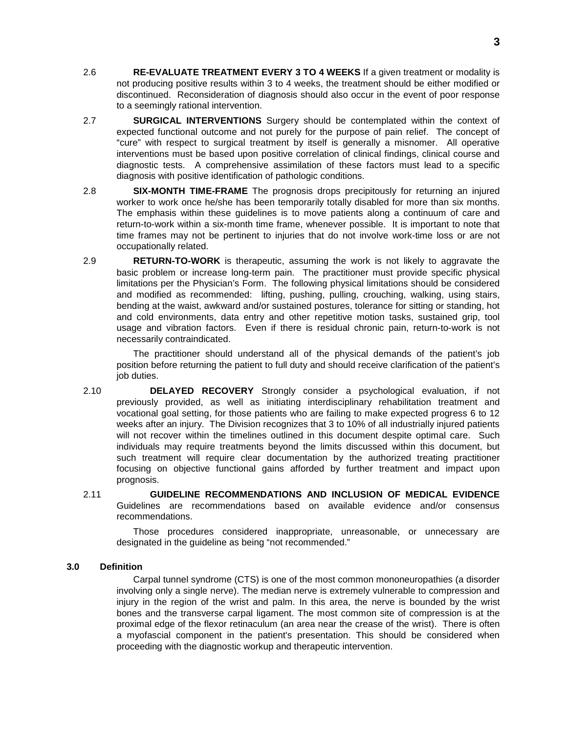- 2.6 **RE-EVALUATE TREATMENT EVERY 3 TO 4 WEEKS** If a given treatment or modality is not producing positive results within 3 to 4 weeks, the treatment should be either modified or discontinued. Reconsideration of diagnosis should also occur in the event of poor response to a seemingly rational intervention.
- 2.7 **SURGICAL INTERVENTIONS** Surgery should be contemplated within the context of expected functional outcome and not purely for the purpose of pain relief. The concept of "cure" with respect to surgical treatment by itself is generally a misnomer. All operative interventions must be based upon positive correlation of clinical findings, clinical course and diagnostic tests. A comprehensive assimilation of these factors must lead to a specific diagnosis with positive identification of pathologic conditions.
- 2.8 **SIX-MONTH TIME-FRAME** The prognosis drops precipitously for returning an injured worker to work once he/she has been temporarily totally disabled for more than six months. The emphasis within these guidelines is to move patients along a continuum of care and return-to-work within a six-month time frame, whenever possible. It is important to note that time frames may not be pertinent to injuries that do not involve work-time loss or are not occupationally related.
- 2.9 **RETURN-TO-WORK** is therapeutic, assuming the work is not likely to aggravate the basic problem or increase long-term pain. The practitioner must provide specific physical limitations per the Physician's Form. The following physical limitations should be considered and modified as recommended: lifting, pushing, pulling, crouching, walking, using stairs, bending at the waist, awkward and/or sustained postures, tolerance for sitting or standing, hot and cold environments, data entry and other repetitive motion tasks, sustained grip, tool usage and vibration factors. Even if there is residual chronic pain, return-to-work is not necessarily contraindicated.

The practitioner should understand all of the physical demands of the patient's job position before returning the patient to full duty and should receive clarification of the patient's job duties.

- 2.10 **DELAYED RECOVERY** Strongly consider a psychological evaluation, if not previously provided, as well as initiating interdisciplinary rehabilitation treatment and vocational goal setting, for those patients who are failing to make expected progress 6 to 12 weeks after an injury. The Division recognizes that 3 to 10% of all industrially injured patients will not recover within the timelines outlined in this document despite optimal care. Such individuals may require treatments beyond the limits discussed within this document, but such treatment will require clear documentation by the authorized treating practitioner focusing on objective functional gains afforded by further treatment and impact upon prognosis.
- 2.11 **GUIDELINE RECOMMENDATIONS AND INCLUSION OF MEDICAL EVIDENCE**  Guidelines are recommendations based on available evidence and/or consensus recommendations.

Those procedures considered inappropriate, unreasonable, or unnecessary are designated in the guideline as being "not recommended."

## **3.0 Definition**

Carpal tunnel syndrome (CTS) is one of the most common mononeuropathies (a disorder involving only a single nerve). The median nerve is extremely vulnerable to compression and injury in the region of the wrist and palm. In this area, the nerve is bounded by the wrist bones and the transverse carpal ligament. The most common site of compression is at the proximal edge of the flexor retinaculum (an area near the crease of the wrist). There is often a myofascial component in the patient's presentation. This should be considered when proceeding with the diagnostic workup and therapeutic intervention.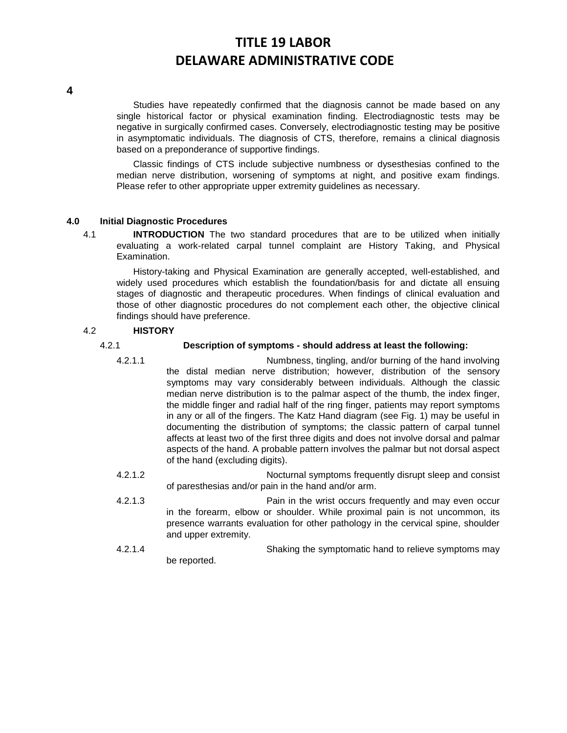**4**

Studies have repeatedly confirmed that the diagnosis cannot be made based on any single historical factor or physical examination finding. Electrodiagnostic tests may be negative in surgically confirmed cases. Conversely, electrodiagnostic testing may be positive in asymptomatic individuals. The diagnosis of CTS, therefore, remains a clinical diagnosis based on a preponderance of supportive findings.

Classic findings of CTS include subjective numbness or dysesthesias confined to the median nerve distribution, worsening of symptoms at night, and positive exam findings. Please refer to other appropriate upper extremity guidelines as necessary.

## **4.0 Initial Diagnostic Procedures**

4.1 **INTRODUCTION** The two standard procedures that are to be utilized when initially evaluating a work-related carpal tunnel complaint are History Taking, and Physical Examination.

History-taking and Physical Examination are generally accepted, well-established, and widely used procedures which establish the foundation/basis for and dictate all ensuing stages of diagnostic and therapeutic procedures. When findings of clinical evaluation and those of other diagnostic procedures do not complement each other, the objective clinical findings should have preference.

## 4.2 **HISTORY**

## 4.2.1 **Description of symptoms - should address at least the following:**

- 4.2.1.1 Numbness, tingling, and/or burning of the hand involving the distal median nerve distribution; however, distribution of the sensory symptoms may vary considerably between individuals. Although the classic median nerve distribution is to the palmar aspect of the thumb, the index finger, the middle finger and radial half of the ring finger, patients may report symptoms in any or all of the fingers. The Katz Hand diagram (see Fig. 1) may be useful in documenting the distribution of symptoms; the classic pattern of carpal tunnel affects at least two of the first three digits and does not involve dorsal and palmar aspects of the hand. A probable pattern involves the palmar but not dorsal aspect of the hand (excluding digits).
- 4.2.1.2 Nocturnal symptoms frequently disrupt sleep and consist of paresthesias and/or pain in the hand and/or arm.
- 4.2.1.3 Pain in the wrist occurs frequently and may even occur in the forearm, elbow or shoulder. While proximal pain is not uncommon, its presence warrants evaluation for other pathology in the cervical spine, shoulder and upper extremity.
- 4.2.1.4 Shaking the symptomatic hand to relieve symptoms may be reported.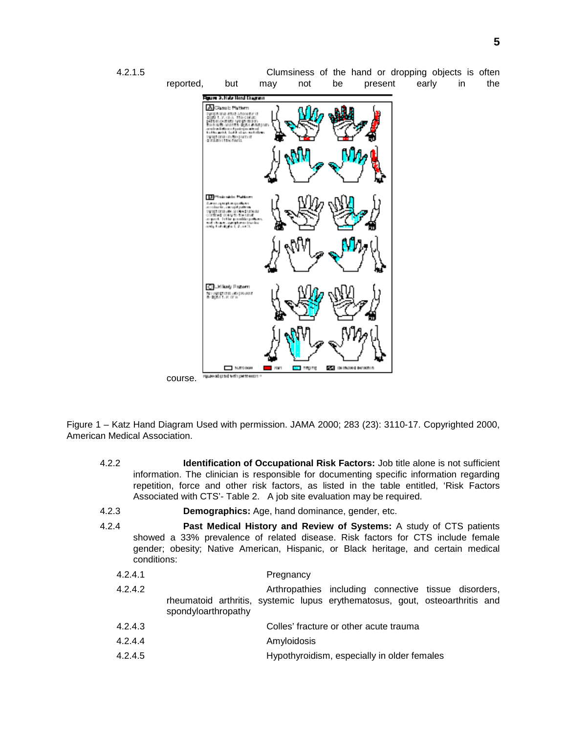

Figure 1 – Katz Hand Diagram Used with permission. JAMA 2000; 283 (23): 3110-17. Copyrighted 2000, American Medical Association.

- 4.2.2 **Identification of Occupational Risk Factors:** Job title alone is not sufficient information. The clinician is responsible for documenting specific information regarding repetition, force and other risk factors, as listed in the table entitled, 'Risk Factors Associated with CTS'- Table 2. A job site evaluation may be required.
- 4.2.3 **Demographics:** Age, hand dominance, gender, etc.
- 4.2.4 **Past Medical History and Review of Systems:** A study of CTS patients showed a 33% prevalence of related disease. Risk factors for CTS include female gender; obesity; Native American, Hispanic, or Black heritage, and certain medical conditions:

| 4.2.4.1 | Pregnancy                                                                                                                                                   |
|---------|-------------------------------------------------------------------------------------------------------------------------------------------------------------|
| 4.2.4.2 | Arthropathies including connective tissue disorders,<br>rheumatoid arthritis, systemic lupus erythematosus, gout, osteoarthritis and<br>spondyloarthropathy |
| 4.2.4.3 | Colles' fracture or other acute trauma                                                                                                                      |
| 4.2.4.4 | Amyloidosis                                                                                                                                                 |
| 4.2.4.5 | Hypothyroidism, especially in older females                                                                                                                 |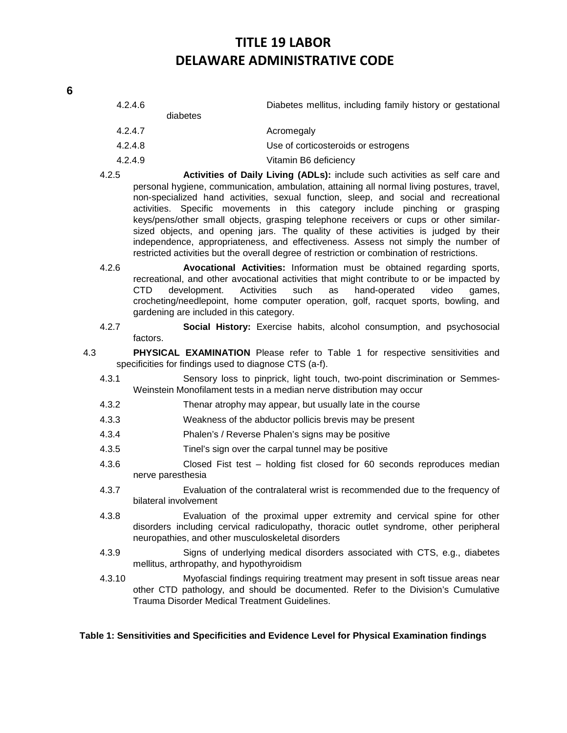| 4.2.4.6 | diabetes | Diabetes mellitus, including family history or gestational |
|---------|----------|------------------------------------------------------------|
| 4.2.4.7 |          | Acromegaly                                                 |
| 4.2.4.8 |          | Use of corticosteroids or estrogens                        |
| 4.2.4.9 |          | Vitamin B6 deficiency                                      |
|         |          |                                                            |

- 4.2.5 **Activities of Daily Living (ADLs):** include such activities as self care and personal hygiene, communication, ambulation, attaining all normal living postures, travel, non-specialized hand activities, sexual function, sleep, and social and recreational activities. Specific movements in this category include pinching or grasping keys/pens/other small objects, grasping telephone receivers or cups or other similarsized objects, and opening jars. The quality of these activities is judged by their independence, appropriateness, and effectiveness. Assess not simply the number of restricted activities but the overall degree of restriction or combination of restrictions.
- 4.2.6 **Avocational Activities:** Information must be obtained regarding sports, recreational, and other avocational activities that might contribute to or be impacted by CTD development. Activities such as hand-operated video games, crocheting/needlepoint, home computer operation, golf, racquet sports, bowling, and gardening are included in this category.
- 4.2.7 **Social History:** Exercise habits, alcohol consumption, and psychosocial factors.
- 4.3 **PHYSICAL EXAMINATION** Please refer to Table 1 for respective sensitivities and specificities for findings used to diagnose CTS (a-f).
	- 4.3.1 Sensory loss to pinprick, light touch, two-point discrimination or Semmes-Weinstein Monofilament tests in a median nerve distribution may occur
	- 4.3.2 Thenar atrophy may appear, but usually late in the course
	- 4.3.3 Weakness of the abductor pollicis brevis may be present
	- 4.3.4 Phalen's / Reverse Phalen's signs may be positive
	- 4.3.5 Tinel's sign over the carpal tunnel may be positive
	- 4.3.6 Closed Fist test holding fist closed for 60 seconds reproduces median nerve paresthesia
	- 4.3.7 Evaluation of the contralateral wrist is recommended due to the frequency of bilateral involvement
	- 4.3.8 Evaluation of the proximal upper extremity and cervical spine for other disorders including cervical radiculopathy, thoracic outlet syndrome, other peripheral neuropathies, and other musculoskeletal disorders
	- 4.3.9 Signs of underlying medical disorders associated with CTS, e.g., diabetes mellitus, arthropathy, and hypothyroidism
	- 4.3.10 Myofascial findings requiring treatment may present in soft tissue areas near other CTD pathology, and should be documented. Refer to the Division's Cumulative Trauma Disorder Medical Treatment Guidelines.

## **Table 1: Sensitivities and Specificities and Evidence Level for Physical Examination findings**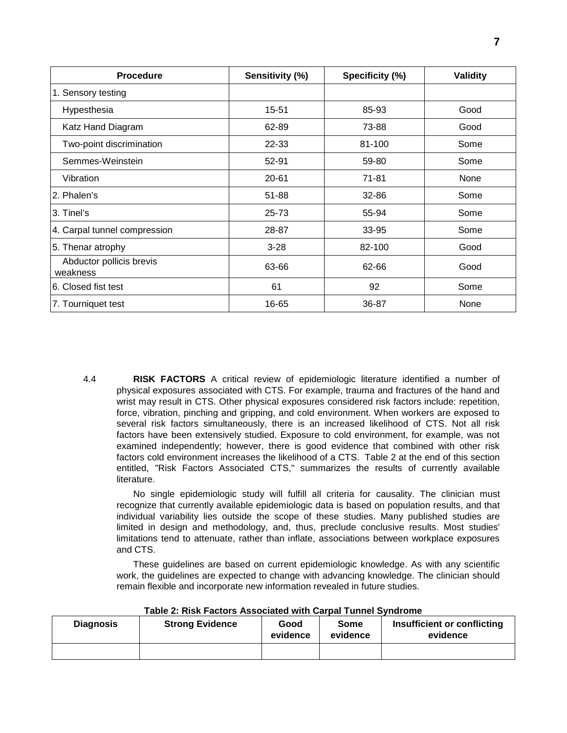| <b>Procedure</b>                     | Sensitivity (%) | Specificity (%) | <b>Validity</b> |
|--------------------------------------|-----------------|-----------------|-----------------|
| 1. Sensory testing                   |                 |                 |                 |
| Hypesthesia                          | 15-51           | 85-93           | Good            |
| Katz Hand Diagram                    | 62-89           | 73-88           | Good            |
| Two-point discrimination             | 22-33           | 81-100          | Some            |
| Semmes-Weinstein                     | 52-91           | 59-80           | Some            |
| Vibration                            | $20 - 61$       | 71-81           | None            |
| 2. Phalen's                          | 51-88           | 32-86           | Some            |
| 3. Tinel's                           | 25-73           | 55-94           | Some            |
| 4. Carpal tunnel compression         | 28-87           | 33-95           | Some            |
| 5. Thenar atrophy                    | $3 - 28$        | 82-100          | Good            |
| Abductor pollicis brevis<br>weakness | 63-66           | 62-66           | Good            |
| 6. Closed fist test                  | 61              | 92              | Some            |
| 7. Tourniquet test                   | 16-65           | 36-87           | None            |

4.4 **RISK FACTORS** A critical review of epidemiologic literature identified a number of physical exposures associated with CTS. For example, trauma and fractures of the hand and wrist may result in CTS. Other physical exposures considered risk factors include: repetition, force, vibration, pinching and gripping, and cold environment. When workers are exposed to several risk factors simultaneously, there is an increased likelihood of CTS. Not all risk factors have been extensively studied. Exposure to cold environment, for example, was not examined independently; however, there is good evidence that combined with other risk factors cold environment increases the likelihood of a CTS. Table 2 at the end of this section entitled, "Risk Factors Associated CTS," summarizes the results of currently available literature.

No single epidemiologic study will fulfill all criteria for causality. The clinician must recognize that currently available epidemiologic data is based on population results, and that individual variability lies outside the scope of these studies. Many published studies are limited in design and methodology, and, thus, preclude conclusive results. Most studies' limitations tend to attenuate, rather than inflate, associations between workplace exposures and CTS.

These guidelines are based on current epidemiologic knowledge. As with any scientific work, the guidelines are expected to change with advancing knowledge. The clinician should remain flexible and incorporate new information revealed in future studies.

| <b>Diagnosis</b> | <b>Strong Evidence</b> | Good<br>evidence | Some<br>evidence | Insufficient or conflicting<br>evidence |
|------------------|------------------------|------------------|------------------|-----------------------------------------|
|                  |                        |                  |                  |                                         |

**Table 2: Risk Factors Associated with Carpal Tunnel Syndrome**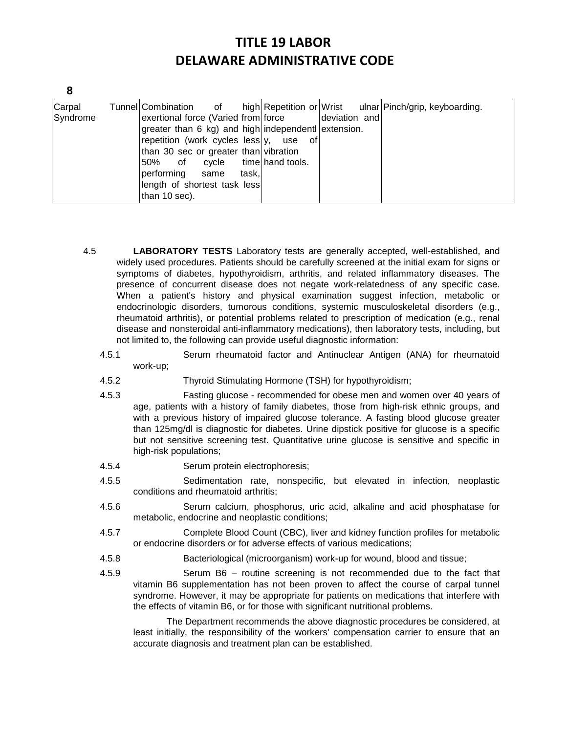| v                      |
|------------------------|
| ×<br>i                 |
| ł<br>e<br>×<br>×<br>۰. |

| Carpal<br>Syndrome | Tunnel Combination<br>of<br>exertional force (Varied from force<br>greater than 6 kg) and high independent extension.<br>repetition (work cycles less)y, use<br>than 30 sec or greater than vibration<br>50%<br>cvcle<br>of<br>performing<br>task, l<br>same<br>length of shortest task less<br>than 10 sec). | of<br>time hand tools. | deviation and | high Repetition or Wrist ulnar Pinch/grip, keyboarding. |
|--------------------|---------------------------------------------------------------------------------------------------------------------------------------------------------------------------------------------------------------------------------------------------------------------------------------------------------------|------------------------|---------------|---------------------------------------------------------|
|--------------------|---------------------------------------------------------------------------------------------------------------------------------------------------------------------------------------------------------------------------------------------------------------------------------------------------------------|------------------------|---------------|---------------------------------------------------------|

- 4.5 **LABORATORY TESTS** Laboratory tests are generally accepted, well-established, and widely used procedures. Patients should be carefully screened at the initial exam for signs or symptoms of diabetes, hypothyroidism, arthritis, and related inflammatory diseases. The presence of concurrent disease does not negate work-relatedness of any specific case. When a patient's history and physical examination suggest infection, metabolic or endocrinologic disorders, tumorous conditions, systemic musculoskeletal disorders (e.g., rheumatoid arthritis), or potential problems related to prescription of medication (e.g., renal disease and nonsteroidal anti-inflammatory medications), then laboratory tests, including, but not limited to, the following can provide useful diagnostic information:
	- 4.5.1 Serum rheumatoid factor and Antinuclear Antigen (ANA) for rheumatoid work-up;
	- 4.5.2 Thyroid Stimulating Hormone (TSH) for hypothyroidism;
	- 4.5.3 Fasting glucose recommended for obese men and women over 40 years of age, patients with a history of family diabetes, those from high-risk ethnic groups, and with a previous history of impaired glucose tolerance. A fasting blood glucose greater than 125mg/dl is diagnostic for diabetes. Urine dipstick positive for glucose is a specific but not sensitive screening test. Quantitative urine glucose is sensitive and specific in high-risk populations;
	- 4.5.4 Serum protein electrophoresis;
	- 4.5.5 Sedimentation rate, nonspecific, but elevated in infection, neoplastic conditions and rheumatoid arthritis;
	- 4.5.6 Serum calcium, phosphorus, uric acid, alkaline and acid phosphatase for metabolic, endocrine and neoplastic conditions;
	- 4.5.7 Complete Blood Count (CBC), liver and kidney function profiles for metabolic or endocrine disorders or for adverse effects of various medications;
	- 4.5.8 Bacteriological (microorganism) work-up for wound, blood and tissue;
	- 4.5.9 Serum B6 routine screening is not recommended due to the fact that vitamin B6 supplementation has not been proven to affect the course of carpal tunnel syndrome. However, it may be appropriate for patients on medications that interfere with the effects of vitamin B6, or for those with significant nutritional problems.

The Department recommends the above diagnostic procedures be considered, at least initially, the responsibility of the workers' compensation carrier to ensure that an accurate diagnosis and treatment plan can be established.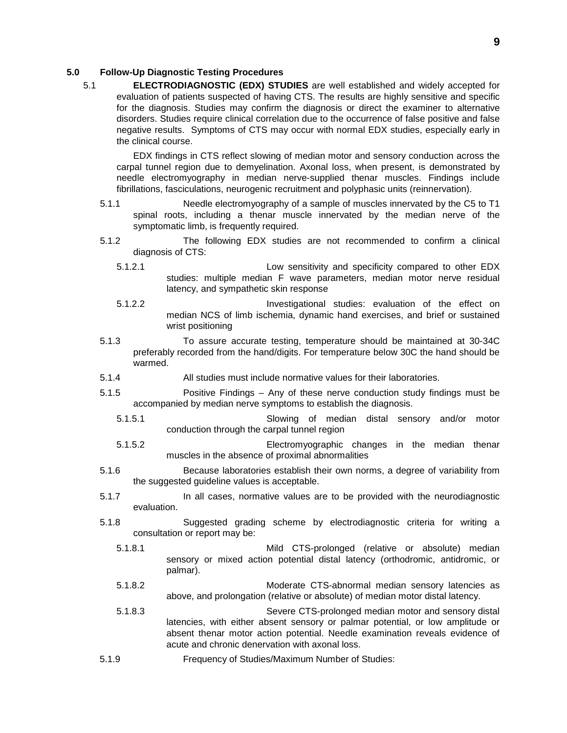## **5.0 Follow-Up Diagnostic Testing Procedures**

5.1 **ELECTRODIAGNOSTIC (EDX) STUDIES** are well established and widely accepted for evaluation of patients suspected of having CTS. The results are highly sensitive and specific for the diagnosis. Studies may confirm the diagnosis or direct the examiner to alternative disorders. Studies require clinical correlation due to the occurrence of false positive and false negative results. Symptoms of CTS may occur with normal EDX studies, especially early in the clinical course.

EDX findings in CTS reflect slowing of median motor and sensory conduction across the carpal tunnel region due to demyelination. Axonal loss, when present, is demonstrated by needle electromyography in median nerve-supplied thenar muscles. Findings include fibrillations, fasciculations, neurogenic recruitment and polyphasic units (reinnervation).

- 5.1.1 Needle electromyography of a sample of muscles innervated by the C5 to T1 spinal roots, including a thenar muscle innervated by the median nerve of the symptomatic limb, is frequently required.
- 5.1.2 The following EDX studies are not recommended to confirm a clinical diagnosis of CTS:
	- 5.1.2.1 Low sensitivity and specificity compared to other EDX studies: multiple median F wave parameters, median motor nerve residual latency, and sympathetic skin response
	- 5.1.2.2 Investigational studies: evaluation of the effect on median NCS of limb ischemia, dynamic hand exercises, and brief or sustained wrist positioning
- 5.1.3 To assure accurate testing, temperature should be maintained at 30-34C preferably recorded from the hand/digits. For temperature below 30C the hand should be warmed.
- 5.1.4 All studies must include normative values for their laboratories.
- 5.1.5 Positive Findings Any of these nerve conduction study findings must be accompanied by median nerve symptoms to establish the diagnosis.
	- 5.1.5.1 Slowing of median distal sensory and/or motor conduction through the carpal tunnel region
	- 5.1.5.2 Electromyographic changes in the median thenar muscles in the absence of proximal abnormalities
- 5.1.6 Because laboratories establish their own norms, a degree of variability from the suggested guideline values is acceptable.
- 5.1.7 In all cases, normative values are to be provided with the neurodiagnostic evaluation.
- 5.1.8 Suggested grading scheme by electrodiagnostic criteria for writing a consultation or report may be:
	- 5.1.8.1 Mild CTS-prolonged (relative or absolute) median sensory or mixed action potential distal latency (orthodromic, antidromic, or palmar).
	- 5.1.8.2 Moderate CTS-abnormal median sensory latencies as above, and prolongation (relative or absolute) of median motor distal latency.
	- 5.1.8.3 Severe CTS-prolonged median motor and sensory distal latencies, with either absent sensory or palmar potential, or low amplitude or absent thenar motor action potential. Needle examination reveals evidence of acute and chronic denervation with axonal loss.
- 5.1.9 Frequency of Studies/Maximum Number of Studies: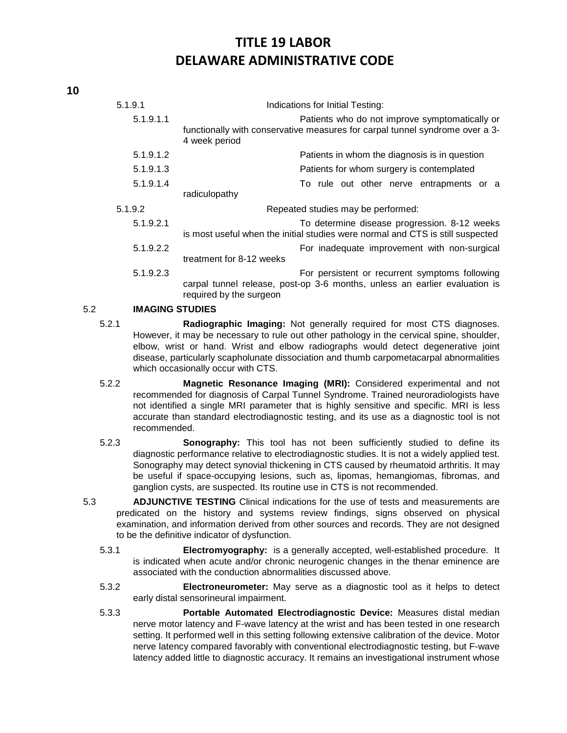| 5.1.9.1   | Indications for Initial Testing:                                                                                                                        |
|-----------|---------------------------------------------------------------------------------------------------------------------------------------------------------|
| 5.1.9.1.1 | Patients who do not improve symptomatically or<br>functionally with conservative measures for carpal tunnel syndrome over a 3-<br>4 week period         |
| 5.1.9.1.2 | Patients in whom the diagnosis is in question                                                                                                           |
| 5.1.9.1.3 | Patients for whom surgery is contemplated                                                                                                               |
| 5.1.9.1.4 | To rule out other nerve entrapments or a                                                                                                                |
|           | radiculopathy                                                                                                                                           |
| 5.1.9.2   | Repeated studies may be performed:                                                                                                                      |
| 5.1.9.2.1 | To determine disease progression. 8-12 weeks<br>is most useful when the initial studies were normal and CTS is still suspected                          |
| 5.1.9.2.2 | For inadequate improvement with non-surgical<br>treatment for 8-12 weeks                                                                                |
| 5.1.9.2.3 | For persistent or recurrent symptoms following<br>carpal tunnel release, post-op 3-6 months, unless an earlier evaluation is<br>required by the surgeon |

## 5.2 **IMAGING STUDIES**

- 5.2.1 **Radiographic Imaging:** Not generally required for most CTS diagnoses. However, it may be necessary to rule out other pathology in the cervical spine, shoulder, elbow, wrist or hand. Wrist and elbow radiographs would detect degenerative joint disease, particularly scapholunate dissociation and thumb carpometacarpal abnormalities which occasionally occur with CTS.
- 5.2.2 **Magnetic Resonance Imaging (MRI):** Considered experimental and not recommended for diagnosis of Carpal Tunnel Syndrome. Trained neuroradiologists have not identified a single MRI parameter that is highly sensitive and specific. MRI is less accurate than standard electrodiagnostic testing, and its use as a diagnostic tool is not recommended.
- 5.2.3 **Sonography:** This tool has not been sufficiently studied to define its diagnostic performance relative to electrodiagnostic studies. It is not a widely applied test. Sonography may detect synovial thickening in CTS caused by rheumatoid arthritis. It may be useful if space-occupying lesions, such as, lipomas, hemangiomas, fibromas, and ganglion cysts, are suspected. Its routine use in CTS is not recommended.
- 5.3 **ADJUNCTIVE TESTING** Clinical indications for the use of tests and measurements are predicated on the history and systems review findings, signs observed on physical examination, and information derived from other sources and records. They are not designed to be the definitive indicator of dysfunction.
	- 5.3.1 **Electromyography:** is a generally accepted, well-established procedure. It is indicated when acute and/or chronic neurogenic changes in the thenar eminence are associated with the conduction abnormalities discussed above.
	- 5.3.2 **Electroneurometer:** May serve as a diagnostic tool as it helps to detect early distal sensorineural impairment.
	- 5.3.3 **Portable Automated Electrodiagnostic Device:** Measures distal median nerve motor latency and F-wave latency at the wrist and has been tested in one research setting. It performed well in this setting following extensive calibration of the device. Motor nerve latency compared favorably with conventional electrodiagnostic testing, but F-wave latency added little to diagnostic accuracy. It remains an investigational instrument whose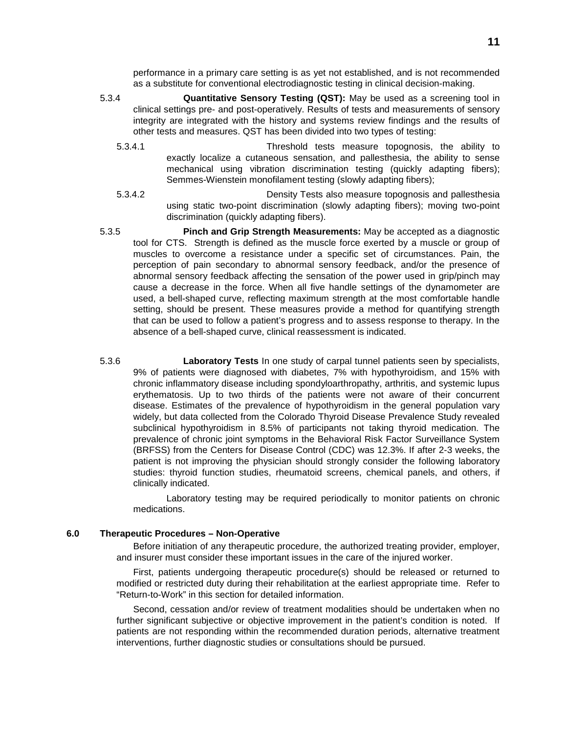performance in a primary care setting is as yet not established, and is not recommended as a substitute for conventional electrodiagnostic testing in clinical decision-making.

- 5.3.4 **Quantitative Sensory Testing (QST):** May be used as a screening tool in clinical settings pre- and post-operatively. Results of tests and measurements of sensory integrity are integrated with the history and systems review findings and the results of other tests and measures. QST has been divided into two types of testing:
	- 5.3.4.1 Threshold tests measure topognosis, the ability to exactly localize a cutaneous sensation, and pallesthesia, the ability to sense mechanical using vibration discrimination testing (quickly adapting fibers); Semmes-Wienstein monofilament testing (slowly adapting fibers);
	- 5.3.4.2 Density Tests also measure topognosis and pallesthesia using static two-point discrimination (slowly adapting fibers); moving two-point discrimination (quickly adapting fibers).
- 5.3.5 **Pinch and Grip Strength Measurements:** May be accepted as a diagnostic tool for CTS. Strength is defined as the muscle force exerted by a muscle or group of muscles to overcome a resistance under a specific set of circumstances. Pain, the perception of pain secondary to abnormal sensory feedback, and/or the presence of abnormal sensory feedback affecting the sensation of the power used in grip/pinch may cause a decrease in the force. When all five handle settings of the dynamometer are used, a bell-shaped curve, reflecting maximum strength at the most comfortable handle setting, should be present. These measures provide a method for quantifying strength that can be used to follow a patient's progress and to assess response to therapy. In the absence of a bell-shaped curve, clinical reassessment is indicated.
- 5.3.6 **Laboratory Tests** In one study of carpal tunnel patients seen by specialists, 9% of patients were diagnosed with diabetes, 7% with hypothyroidism, and 15% with chronic inflammatory disease including spondyloarthropathy, arthritis, and systemic lupus erythematosis. Up to two thirds of the patients were not aware of their concurrent disease. Estimates of the prevalence of hypothyroidism in the general population vary widely, but data collected from the Colorado Thyroid Disease Prevalence Study revealed subclinical hypothyroidism in 8.5% of participants not taking thyroid medication. The prevalence of chronic joint symptoms in the Behavioral Risk Factor Surveillance System (BRFSS) from the Centers for Disease Control (CDC) was 12.3%. If after 2-3 weeks, the patient is not improving the physician should strongly consider the following laboratory studies: thyroid function studies, rheumatoid screens, chemical panels, and others, if clinically indicated.

Laboratory testing may be required periodically to monitor patients on chronic medications.

#### **6.0 Therapeutic Procedures – Non-Operative**

Before initiation of any therapeutic procedure, the authorized treating provider, employer, and insurer must consider these important issues in the care of the injured worker.

First, patients undergoing therapeutic procedure(s) should be released or returned to modified or restricted duty during their rehabilitation at the earliest appropriate time. Refer to "Return-to-Work" in this section for detailed information.

Second, cessation and/or review of treatment modalities should be undertaken when no further significant subjective or objective improvement in the patient's condition is noted. If patients are not responding within the recommended duration periods, alternative treatment interventions, further diagnostic studies or consultations should be pursued.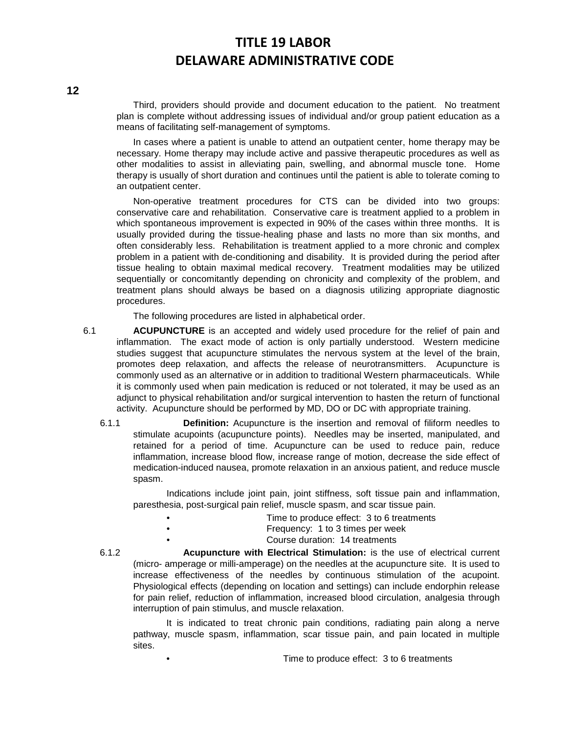Third, providers should provide and document education to the patient. No treatment plan is complete without addressing issues of individual and/or group patient education as a means of facilitating self-management of symptoms.

In cases where a patient is unable to attend an outpatient center, home therapy may be necessary. Home therapy may include active and passive therapeutic procedures as well as other modalities to assist in alleviating pain, swelling, and abnormal muscle tone. Home therapy is usually of short duration and continues until the patient is able to tolerate coming to an outpatient center.

Non-operative treatment procedures for CTS can be divided into two groups: conservative care and rehabilitation. Conservative care is treatment applied to a problem in which spontaneous improvement is expected in 90% of the cases within three months. It is usually provided during the tissue-healing phase and lasts no more than six months, and often considerably less. Rehabilitation is treatment applied to a more chronic and complex problem in a patient with de-conditioning and disability. It is provided during the period after tissue healing to obtain maximal medical recovery. Treatment modalities may be utilized sequentially or concomitantly depending on chronicity and complexity of the problem, and treatment plans should always be based on a diagnosis utilizing appropriate diagnostic procedures.

The following procedures are listed in alphabetical order.

- 6.1 **ACUPUNCTURE** is an accepted and widely used procedure for the relief of pain and inflammation. The exact mode of action is only partially understood. Western medicine studies suggest that acupuncture stimulates the nervous system at the level of the brain, promotes deep relaxation, and affects the release of neurotransmitters. Acupuncture is commonly used as an alternative or in addition to traditional Western pharmaceuticals. While it is commonly used when pain medication is reduced or not tolerated, it may be used as an adjunct to physical rehabilitation and/or surgical intervention to hasten the return of functional activity. Acupuncture should be performed by MD, DO or DC with appropriate training.
	- 6.1.1 **Definition:** Acupuncture is the insertion and removal of filiform needles to stimulate acupoints (acupuncture points). Needles may be inserted, manipulated, and retained for a period of time. Acupuncture can be used to reduce pain, reduce inflammation, increase blood flow, increase range of motion, decrease the side effect of medication-induced nausea, promote relaxation in an anxious patient, and reduce muscle spasm.

Indications include joint pain, joint stiffness, soft tissue pain and inflammation, paresthesia, post-surgical pain relief, muscle spasm, and scar tissue pain.

- Time to produce effect: 3 to 6 treatments
- Frequency: 1 to 3 times per week
	- Course duration: 14 treatments

6.1.2 **Acupuncture with Electrical Stimulation:** is the use of electrical current (micro- amperage or milli-amperage) on the needles at the acupuncture site. It is used to increase effectiveness of the needles by continuous stimulation of the acupoint. Physiological effects (depending on location and settings) can include endorphin release for pain relief, reduction of inflammation, increased blood circulation, analgesia through interruption of pain stimulus, and muscle relaxation.

It is indicated to treat chronic pain conditions, radiating pain along a nerve pathway, muscle spasm, inflammation, scar tissue pain, and pain located in multiple sites.

• Time to produce effect: 3 to 6 treatments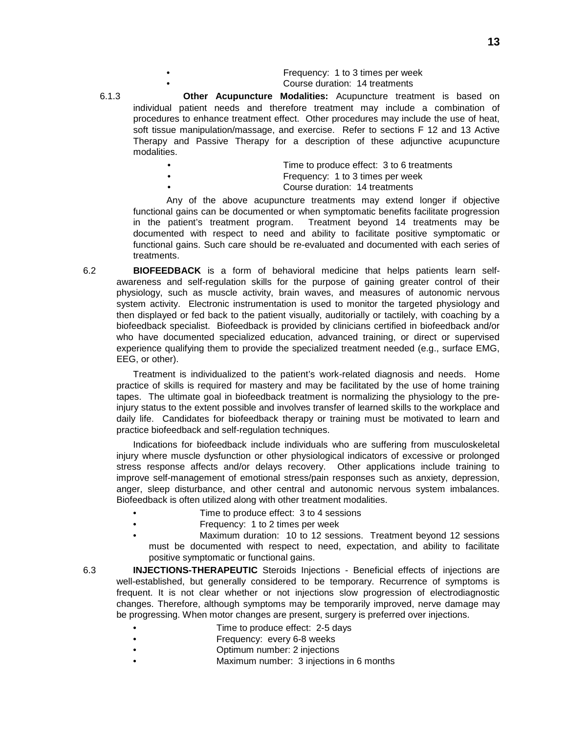| Frequency: 1 to 3 times per week |
|----------------------------------|
| Course duration: 14 treatments   |

6.1.3 **Other Acupuncture Modalities:** Acupuncture treatment is based on individual patient needs and therefore treatment may include a combination of procedures to enhance treatment effect. Other procedures may include the use of heat, soft tissue manipulation/massage, and exercise. Refer to sections F 12 and 13 Active Therapy and Passive Therapy for a description of these adjunctive acupuncture modalities.

| $\bullet$ | Time to produce effect: 3 to 6 treatments |
|-----------|-------------------------------------------|
| $\bullet$ | Frequency: 1 to 3 times per week          |
| $\bullet$ | Course duration: 14 treatments            |

Any of the above acupuncture treatments may extend longer if objective functional gains can be documented or when symptomatic benefits facilitate progression in the patient's treatment program. Treatment beyond 14 treatments may be documented with respect to need and ability to facilitate positive symptomatic or functional gains. Such care should be re-evaluated and documented with each series of treatments.

6.2 **BIOFEEDBACK** is a form of behavioral medicine that helps patients learn selfawareness and self-regulation skills for the purpose of gaining greater control of their physiology, such as muscle activity, brain waves, and measures of autonomic nervous system activity. Electronic instrumentation is used to monitor the targeted physiology and then displayed or fed back to the patient visually, auditorially or tactilely, with coaching by a biofeedback specialist. Biofeedback is provided by clinicians certified in biofeedback and/or who have documented specialized education, advanced training, or direct or supervised experience qualifying them to provide the specialized treatment needed (e.g., surface EMG, EEG, or other).

Treatment is individualized to the patient's work-related diagnosis and needs. Home practice of skills is required for mastery and may be facilitated by the use of home training tapes. The ultimate goal in biofeedback treatment is normalizing the physiology to the preinjury status to the extent possible and involves transfer of learned skills to the workplace and daily life. Candidates for biofeedback therapy or training must be motivated to learn and practice biofeedback and self-regulation techniques.

Indications for biofeedback include individuals who are suffering from musculoskeletal injury where muscle dysfunction or other physiological indicators of excessive or prolonged stress response affects and/or delays recovery. Other applications include training to improve self-management of emotional stress/pain responses such as anxiety, depression, anger, sleep disturbance, and other central and autonomic nervous system imbalances. Biofeedback is often utilized along with other treatment modalities.

- Time to produce effect: 3 to 4 sessions
- Frequency: 1 to 2 times per week
- Maximum duration: 10 to 12 sessions. Treatment beyond 12 sessions must be documented with respect to need, expectation, and ability to facilitate positive symptomatic or functional gains.

6.3 **INJECTIONS-THERAPEUTIC** Steroids Injections - Beneficial effects of injections are well-established, but generally considered to be temporary. Recurrence of symptoms is frequent. It is not clear whether or not injections slow progression of electrodiagnostic changes. Therefore, although symptoms may be temporarily improved, nerve damage may be progressing. When motor changes are present, surgery is preferred over injections.

- Time to produce effect: 2-5 days
- Frequency: every 6-8 weeks
	- Optimum number: 2 injections
- Maximum number: 3 injections in 6 months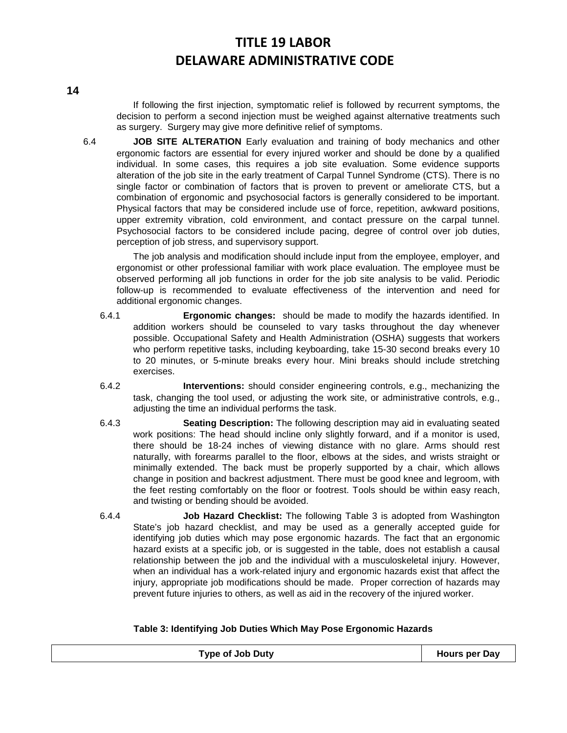If following the first injection, symptomatic relief is followed by recurrent symptoms, the decision to perform a second injection must be weighed against alternative treatments such as surgery. Surgery may give more definitive relief of symptoms.

6.4 **JOB SITE ALTERATION** Early evaluation and training of body mechanics and other ergonomic factors are essential for every injured worker and should be done by a qualified individual. In some cases, this requires a job site evaluation. Some evidence supports alteration of the job site in the early treatment of Carpal Tunnel Syndrome (CTS). There is no single factor or combination of factors that is proven to prevent or ameliorate CTS, but a combination of ergonomic and psychosocial factors is generally considered to be important. Physical factors that may be considered include use of force, repetition, awkward positions, upper extremity vibration, cold environment, and contact pressure on the carpal tunnel. Psychosocial factors to be considered include pacing, degree of control over job duties, perception of job stress, and supervisory support.

The job analysis and modification should include input from the employee, employer, and ergonomist or other professional familiar with work place evaluation. The employee must be observed performing all job functions in order for the job site analysis to be valid. Periodic follow-up is recommended to evaluate effectiveness of the intervention and need for additional ergonomic changes.

- 6.4.1 **Ergonomic changes:** should be made to modify the hazards identified. In addition workers should be counseled to vary tasks throughout the day whenever possible. Occupational Safety and Health Administration (OSHA) suggests that workers who perform repetitive tasks, including keyboarding, take 15-30 second breaks every 10 to 20 minutes, or 5-minute breaks every hour. Mini breaks should include stretching exercises.
- 6.4.2 **Interventions:** should consider engineering controls, e.g., mechanizing the task, changing the tool used, or adjusting the work site, or administrative controls, e.g., adjusting the time an individual performs the task.
- 6.4.3 **Seating Description:** The following description may aid in evaluating seated work positions: The head should incline only slightly forward, and if a monitor is used, there should be 18-24 inches of viewing distance with no glare. Arms should rest naturally, with forearms parallel to the floor, elbows at the sides, and wrists straight or minimally extended. The back must be properly supported by a chair, which allows change in position and backrest adjustment. There must be good knee and legroom, with the feet resting comfortably on the floor or footrest. Tools should be within easy reach, and twisting or bending should be avoided.
- 6.4.4 **Job Hazard Checklist:** The following Table 3 is adopted from Washington State's job hazard checklist, and may be used as a generally accepted guide for identifying job duties which may pose ergonomic hazards. The fact that an ergonomic hazard exists at a specific job, or is suggested in the table, does not establish a causal relationship between the job and the individual with a musculoskeletal injury. However, when an individual has a work-related injury and ergonomic hazards exist that affect the injury, appropriate job modifications should be made. Proper correction of hazards may prevent future injuries to others, as well as aid in the recovery of the injured worker.

## **Table 3: Identifying Job Duties Which May Pose Ergonomic Hazards**

| <b>Type of Job Duty</b> | <b>Hours per Day</b> |
|-------------------------|----------------------|
|                         |                      |

**14**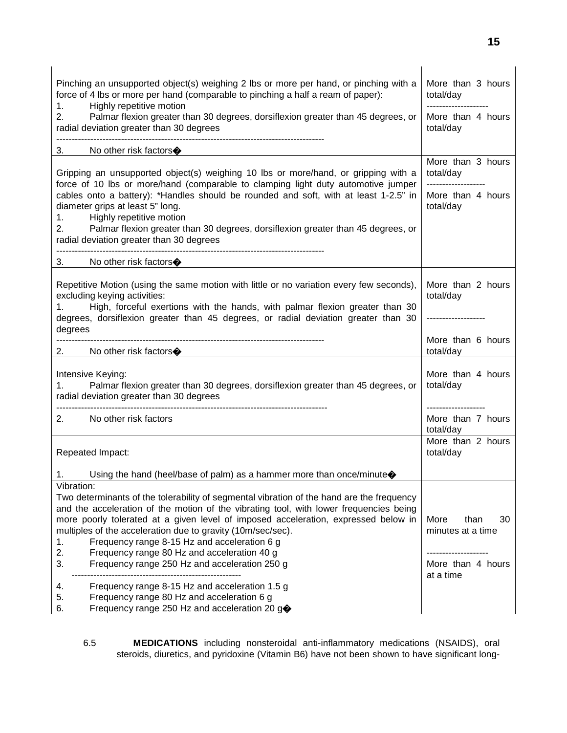| Pinching an unsupported object(s) weighing 2 lbs or more per hand, or pinching with a<br>force of 4 lbs or more per hand (comparable to pinching a half a ream of paper):<br>Highly repetitive motion<br>1.                                                                                                     | More than 3 hours<br>total/day<br>-------------------- |
|-----------------------------------------------------------------------------------------------------------------------------------------------------------------------------------------------------------------------------------------------------------------------------------------------------------------|--------------------------------------------------------|
| 2.<br>Palmar flexion greater than 30 degrees, dorsiflexion greater than 45 degrees, or<br>radial deviation greater than 30 degrees                                                                                                                                                                              | More than 4 hours<br>total/day                         |
| No other risk factors $\bigcirc$                                                                                                                                                                                                                                                                                |                                                        |
| Gripping an unsupported object(s) weighing 10 lbs or more/hand, or gripping with a<br>force of 10 lbs or more/hand (comparable to clamping light duty automotive jumper                                                                                                                                         | More than 3 hours<br>total/day<br>-------------------  |
| cables onto a battery): *Handles should be rounded and soft, with at least 1-2.5" in<br>diameter grips at least 5" long.<br>Highly repetitive motion<br>1.<br>2.<br>Palmar flexion greater than 30 degrees, dorsiflexion greater than 45 degrees, or<br>radial deviation greater than 30 degrees                | More than 4 hours<br>total/day                         |
| No other risk factors $\bigcirc$<br>3.                                                                                                                                                                                                                                                                          |                                                        |
| Repetitive Motion (using the same motion with little or no variation every few seconds),<br>excluding keying activities:<br>High, forceful exertions with the hands, with palmar flexion greater than 30<br>1.<br>degrees, dorsiflexion greater than 45 degrees, or radial deviation greater than 30<br>degrees | More than 2 hours<br>total/day<br>-----------------    |
| No other risk factors $\bigcirc$                                                                                                                                                                                                                                                                                | More than 6 hours<br>total/day                         |
| Intensive Keying:<br>Palmar flexion greater than 30 degrees, dorsiflexion greater than 45 degrees, or<br>1.<br>radial deviation greater than 30 degrees                                                                                                                                                         | More than 4 hours<br>total/day                         |
| No other risk factors<br>2.                                                                                                                                                                                                                                                                                     | -----------------<br>More than 7 hours<br>total/day    |
| Repeated Impact:                                                                                                                                                                                                                                                                                                | More than 2 hours<br>total/day                         |
| Using the hand (heel/base of palm) as a hammer more than once/minute $\diamondsuit$<br>1.                                                                                                                                                                                                                       |                                                        |
| Vibration:                                                                                                                                                                                                                                                                                                      |                                                        |
| Two determinants of the tolerability of segmental vibration of the hand are the frequency                                                                                                                                                                                                                       |                                                        |
| and the acceleration of the motion of the vibrating tool, with lower frequencies being                                                                                                                                                                                                                          |                                                        |
| more poorly tolerated at a given level of imposed acceleration, expressed below in                                                                                                                                                                                                                              | More<br>30<br>than<br>minutes at a time                |
| multiples of the acceleration due to gravity (10m/sec/sec).<br>Frequency range 8-15 Hz and acceleration 6 g<br>1.                                                                                                                                                                                               |                                                        |
| 2.<br>Frequency range 80 Hz and acceleration 40 g                                                                                                                                                                                                                                                               |                                                        |
| 3.<br>Frequency range 250 Hz and acceleration 250 g                                                                                                                                                                                                                                                             | More than 4 hours<br>at a time                         |
| Frequency range 8-15 Hz and acceleration 1.5 g<br>4.                                                                                                                                                                                                                                                            |                                                        |
| Frequency range 80 Hz and acceleration 6 g<br>5.                                                                                                                                                                                                                                                                |                                                        |
| Frequency range 250 Hz and acceleration 20 g◆<br>6.                                                                                                                                                                                                                                                             |                                                        |

6.5 **MEDICATIONS** including nonsteroidal anti-inflammatory medications (NSAIDS), oral steroids, diuretics, and pyridoxine (Vitamin B6) have not been shown to have significant long-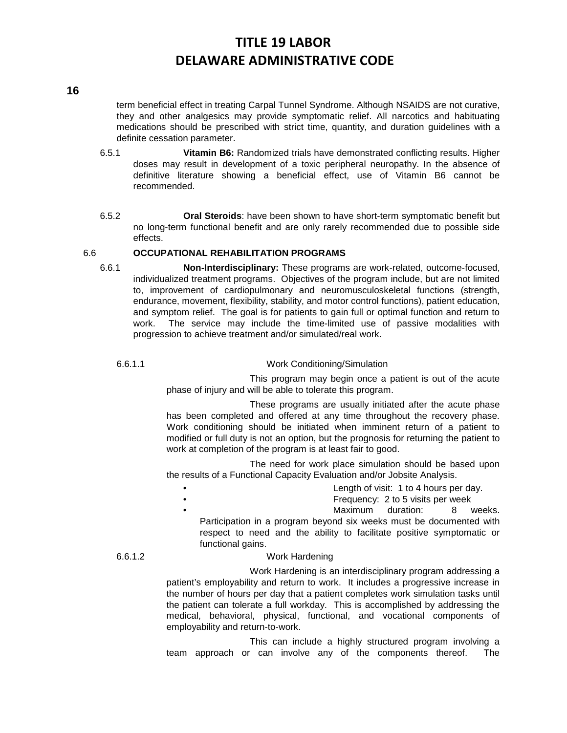### **16**

term beneficial effect in treating Carpal Tunnel Syndrome. Although NSAIDS are not curative, they and other analgesics may provide symptomatic relief. All narcotics and habituating medications should be prescribed with strict time, quantity, and duration guidelines with a definite cessation parameter.

- 6.5.1 **Vitamin B6:** Randomized trials have demonstrated conflicting results. Higher doses may result in development of a toxic peripheral neuropathy. In the absence of definitive literature showing a beneficial effect, use of Vitamin B6 cannot be recommended.
- 6.5.2 **Oral Steroids**: have been shown to have short-term symptomatic benefit but no long-term functional benefit and are only rarely recommended due to possible side effects.

## 6.6 **OCCUPATIONAL REHABILITATION PROGRAMS**

6.6.1 **Non-Interdisciplinary:** These programs are work-related, outcome-focused, individualized treatment programs. Objectives of the program include, but are not limited to, improvement of cardiopulmonary and neuromusculoskeletal functions (strength, endurance, movement, flexibility, stability, and motor control functions), patient education, and symptom relief. The goal is for patients to gain full or optimal function and return to work. The service may include the time-limited use of passive modalities with progression to achieve treatment and/or simulated/real work.

## 6.6.1.1 Work Conditioning/Simulation

This program may begin once a patient is out of the acute phase of injury and will be able to tolerate this program.

These programs are usually initiated after the acute phase has been completed and offered at any time throughout the recovery phase. Work conditioning should be initiated when imminent return of a patient to modified or full duty is not an option, but the prognosis for returning the patient to work at completion of the program is at least fair to good.

The need for work place simulation should be based upon the results of a Functional Capacity Evaluation and/or Jobsite Analysis.

- Length of visit: 1 to 4 hours per day.
- Frequency: 2 to 5 visits per week
	- Maximum duration: 8 weeks.

Participation in a program beyond six weeks must be documented with respect to need and the ability to facilitate positive symptomatic or functional gains.

## 6.6.1.2 Work Hardening

Work Hardening is an interdisciplinary program addressing a patient's employability and return to work. It includes a progressive increase in the number of hours per day that a patient completes work simulation tasks until the patient can tolerate a full workday. This is accomplished by addressing the medical, behavioral, physical, functional, and vocational components of employability and return-to-work.

This can include a highly structured program involving a team approach or can involve any of the components thereof. The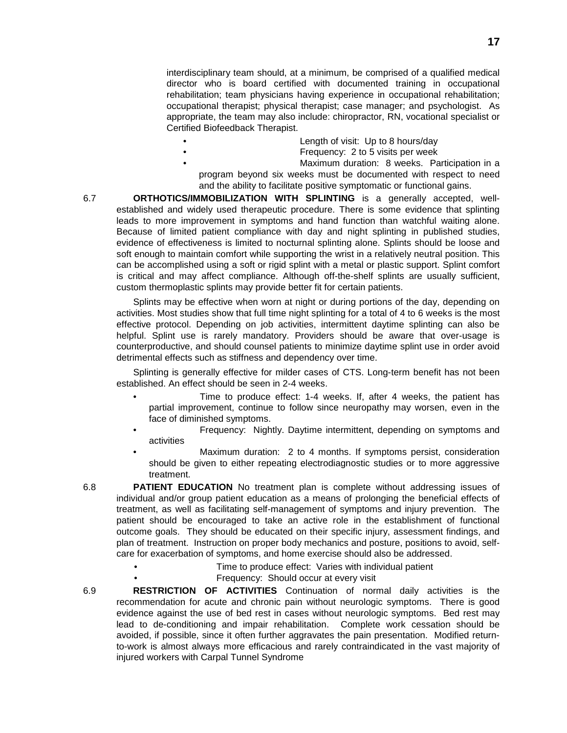interdisciplinary team should, at a minimum, be comprised of a qualified medical director who is board certified with documented training in occupational rehabilitation; team physicians having experience in occupational rehabilitation; occupational therapist; physical therapist; case manager; and psychologist. As appropriate, the team may also include: chiropractor, RN, vocational specialist or Certified Biofeedback Therapist.

- Length of visit: Up to 8 hours/day
- Frequency: 2 to 5 visits per week
- Maximum duration: 8 weeks. Participation in a program beyond six weeks must be documented with respect to need and the ability to facilitate positive symptomatic or functional gains.

6.7 **ORTHOTICS/IMMOBILIZATION WITH SPLINTING** is a generally accepted, wellestablished and widely used therapeutic procedure. There is some evidence that splinting leads to more improvement in symptoms and hand function than watchful waiting alone. Because of limited patient compliance with day and night splinting in published studies, evidence of effectiveness is limited to nocturnal splinting alone. Splints should be loose and soft enough to maintain comfort while supporting the wrist in a relatively neutral position. This can be accomplished using a soft or rigid splint with a metal or plastic support. Splint comfort is critical and may affect compliance. Although off-the-shelf splints are usually sufficient, custom thermoplastic splints may provide better fit for certain patients.

Splints may be effective when worn at night or during portions of the day, depending on activities. Most studies show that full time night splinting for a total of 4 to 6 weeks is the most effective protocol. Depending on job activities, intermittent daytime splinting can also be helpful. Splint use is rarely mandatory. Providers should be aware that over-usage is counterproductive, and should counsel patients to minimize daytime splint use in order avoid detrimental effects such as stiffness and dependency over time.

Splinting is generally effective for milder cases of CTS. Long-term benefit has not been established. An effect should be seen in 2-4 weeks.

- Time to produce effect: 1-4 weeks. If, after 4 weeks, the patient has partial improvement, continue to follow since neuropathy may worsen, even in the face of diminished symptoms.
- Frequency: Nightly. Daytime intermittent, depending on symptoms and activities
- Maximum duration: 2 to 4 months. If symptoms persist, consideration should be given to either repeating electrodiagnostic studies or to more aggressive treatment.
- 6.8 **PATIENT EDUCATION** No treatment plan is complete without addressing issues of individual and/or group patient education as a means of prolonging the beneficial effects of treatment, as well as facilitating self-management of symptoms and injury prevention. The patient should be encouraged to take an active role in the establishment of functional outcome goals. They should be educated on their specific injury, assessment findings, and plan of treatment. Instruction on proper body mechanics and posture, positions to avoid, selfcare for exacerbation of symptoms, and home exercise should also be addressed.
	- Time to produce effect: Varies with individual patient
	- Frequency: Should occur at every visit
- 6.9 **RESTRICTION OF ACTIVITIES** Continuation of normal daily activities is the recommendation for acute and chronic pain without neurologic symptoms. There is good evidence against the use of bed rest in cases without neurologic symptoms. Bed rest may lead to de-conditioning and impair rehabilitation. Complete work cessation should be avoided, if possible, since it often further aggravates the pain presentation. Modified returnto-work is almost always more efficacious and rarely contraindicated in the vast majority of injured workers with Carpal Tunnel Syndrome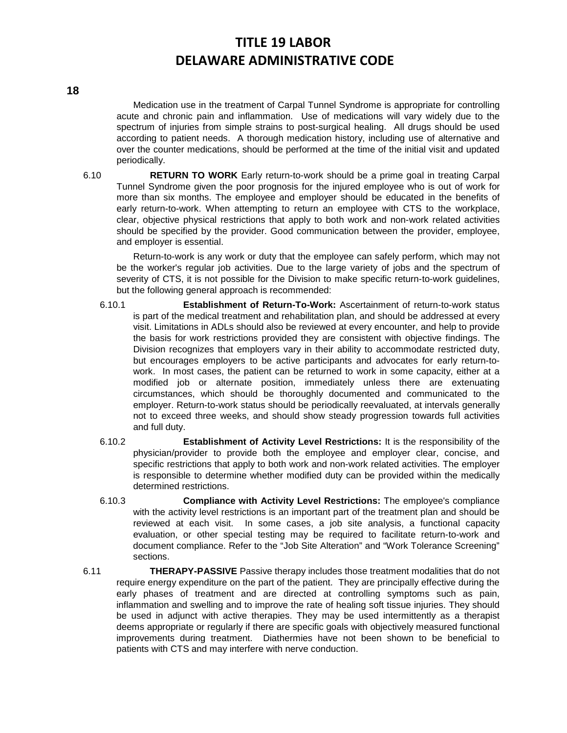Medication use in the treatment of Carpal Tunnel Syndrome is appropriate for controlling acute and chronic pain and inflammation. Use of medications will vary widely due to the spectrum of injuries from simple strains to post-surgical healing. All drugs should be used according to patient needs. A thorough medication history, including use of alternative and over the counter medications, should be performed at the time of the initial visit and updated periodically.

6.10 **RETURN TO WORK** Early return-to-work should be a prime goal in treating Carpal Tunnel Syndrome given the poor prognosis for the injured employee who is out of work for more than six months. The employee and employer should be educated in the benefits of early return-to-work. When attempting to return an employee with CTS to the workplace, clear, objective physical restrictions that apply to both work and non-work related activities should be specified by the provider. Good communication between the provider, employee, and employer is essential.

Return-to-work is any work or duty that the employee can safely perform, which may not be the worker's regular job activities. Due to the large variety of jobs and the spectrum of severity of CTS, it is not possible for the Division to make specific return-to-work guidelines, but the following general approach is recommended:

- 6.10.1 **Establishment of Return-To-Work:** Ascertainment of return-to-work status is part of the medical treatment and rehabilitation plan, and should be addressed at every visit. Limitations in ADLs should also be reviewed at every encounter, and help to provide the basis for work restrictions provided they are consistent with objective findings. The Division recognizes that employers vary in their ability to accommodate restricted duty, but encourages employers to be active participants and advocates for early return-towork. In most cases, the patient can be returned to work in some capacity, either at a modified job or alternate position, immediately unless there are extenuating circumstances, which should be thoroughly documented and communicated to the employer. Return-to-work status should be periodically reevaluated, at intervals generally not to exceed three weeks, and should show steady progression towards full activities and full duty.
- 6.10.2 **Establishment of Activity Level Restrictions:** It is the responsibility of the physician/provider to provide both the employee and employer clear, concise, and specific restrictions that apply to both work and non-work related activities. The employer is responsible to determine whether modified duty can be provided within the medically determined restrictions.
- 6.10.3 **Compliance with Activity Level Restrictions:** The employee's compliance with the activity level restrictions is an important part of the treatment plan and should be reviewed at each visit. In some cases, a job site analysis, a functional capacity evaluation, or other special testing may be required to facilitate return-to-work and document compliance. Refer to the "Job Site Alteration" and "Work Tolerance Screening" sections.
- 6.11 **THERAPY-PASSIVE** Passive therapy includes those treatment modalities that do not require energy expenditure on the part of the patient. They are principally effective during the early phases of treatment and are directed at controlling symptoms such as pain, inflammation and swelling and to improve the rate of healing soft tissue injuries. They should be used in adjunct with active therapies. They may be used intermittently as a therapist deems appropriate or regularly if there are specific goals with objectively measured functional improvements during treatment. Diathermies have not been shown to be beneficial to patients with CTS and may interfere with nerve conduction.

**18**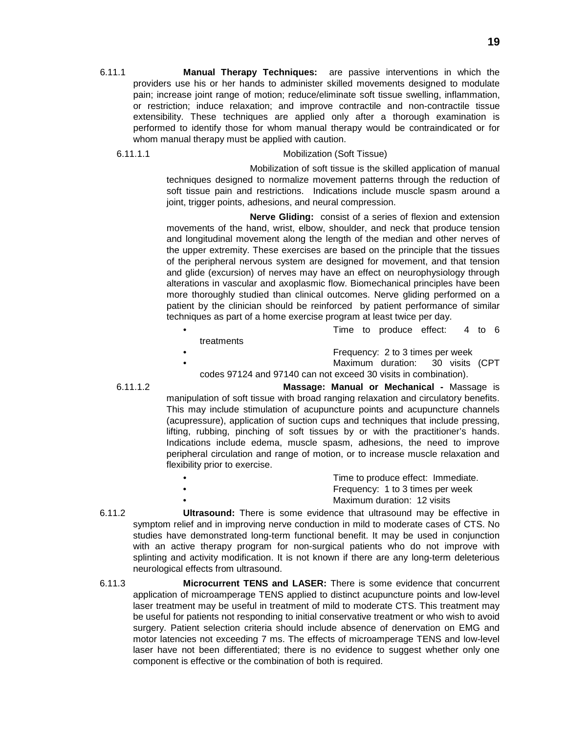6.11.1 **Manual Therapy Techniques:** are passive interventions in which the providers use his or her hands to administer skilled movements designed to modulate pain; increase joint range of motion; reduce/eliminate soft tissue swelling, inflammation, or restriction; induce relaxation; and improve contractile and non-contractile tissue extensibility. These techniques are applied only after a thorough examination is performed to identify those for whom manual therapy would be contraindicated or for whom manual therapy must be applied with caution.

## 6.11.1.1 Mobilization (Soft Tissue)

Mobilization of soft tissue is the skilled application of manual techniques designed to normalize movement patterns through the reduction of soft tissue pain and restrictions. Indications include muscle spasm around a joint, trigger points, adhesions, and neural compression.

**Nerve Gliding:** consist of a series of flexion and extension movements of the hand, wrist, elbow, shoulder, and neck that produce tension and longitudinal movement along the length of the median and other nerves of the upper extremity. These exercises are based on the principle that the tissues of the peripheral nervous system are designed for movement, and that tension and glide (excursion) of nerves may have an effect on neurophysiology through alterations in vascular and axoplasmic flow. Biomechanical principles have been more thoroughly studied than clinical outcomes. Nerve gliding performed on a patient by the clinician should be reinforced by patient performance of similar techniques as part of a home exercise program at least twice per day.

|            |  | Time to produce effect: 4 to 6   |  |  |
|------------|--|----------------------------------|--|--|
| treatments |  |                                  |  |  |
|            |  | Frequency: 2 to 3 times per week |  |  |

Maximum duration: 30 visits (CPT codes 97124 and 97140 can not exceed 30 visits in combination).

6.11.1.2 **Massage: Manual or Mechanical -** Massage is manipulation of soft tissue with broad ranging relaxation and circulatory benefits. This may include stimulation of acupuncture points and acupuncture channels (acupressure), application of suction cups and techniques that include pressing, lifting, rubbing, pinching of soft tissues by or with the practitioner's hands. Indications include edema, muscle spasm, adhesions, the need to improve peripheral circulation and range of motion, or to increase muscle relaxation and flexibility prior to exercise.

- Time to produce effect: Immediate. • Frequency: 1 to 3 times per week Maximum duration: 12 visits
- 6.11.2 **Ultrasound:** There is some evidence that ultrasound may be effective in symptom relief and in improving nerve conduction in mild to moderate cases of CTS. No studies have demonstrated long-term functional benefit. It may be used in conjunction with an active therapy program for non-surgical patients who do not improve with splinting and activity modification. It is not known if there are any long-term deleterious neurological effects from ultrasound.
- 6.11.3 **Microcurrent TENS and LASER:** There is some evidence that concurrent application of microamperage TENS applied to distinct acupuncture points and low-level laser treatment may be useful in treatment of mild to moderate CTS. This treatment may be useful for patients not responding to initial conservative treatment or who wish to avoid surgery. Patient selection criteria should include absence of denervation on EMG and motor latencies not exceeding 7 ms. The effects of microamperage TENS and low-level laser have not been differentiated; there is no evidence to suggest whether only one component is effective or the combination of both is required.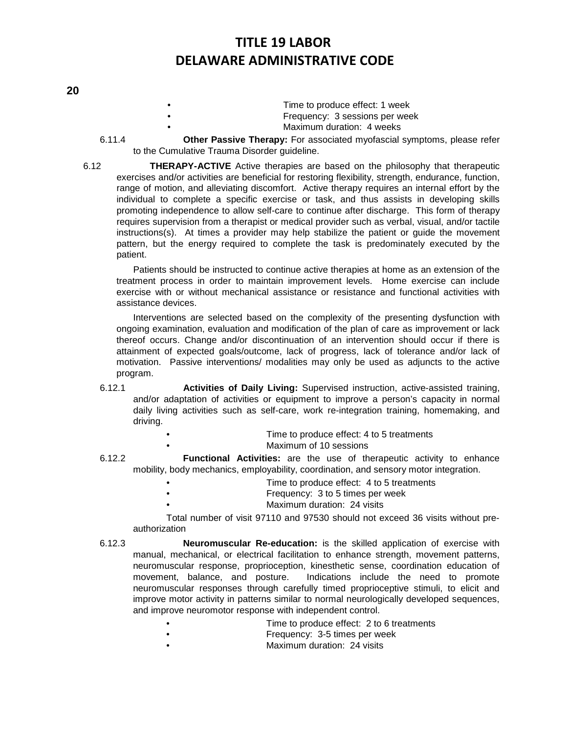## **20**

- Time to produce effect: 1 week • Frequency: 3 sessions per week Maximum duration: 4 weeks
- 6.11.4 **Other Passive Therapy:** For associated myofascial symptoms, please refer
	- to the Cumulative Trauma Disorder guideline.
- 6.12 **THERAPY-ACTIVE** Active therapies are based on the philosophy that therapeutic exercises and/or activities are beneficial for restoring flexibility, strength, endurance, function, range of motion, and alleviating discomfort. Active therapy requires an internal effort by the individual to complete a specific exercise or task, and thus assists in developing skills promoting independence to allow self-care to continue after discharge. This form of therapy requires supervision from a therapist or medical provider such as verbal, visual, and/or tactile instructions(s). At times a provider may help stabilize the patient or guide the movement pattern, but the energy required to complete the task is predominately executed by the patient.

Patients should be instructed to continue active therapies at home as an extension of the treatment process in order to maintain improvement levels. Home exercise can include exercise with or without mechanical assistance or resistance and functional activities with assistance devices.

Interventions are selected based on the complexity of the presenting dysfunction with ongoing examination, evaluation and modification of the plan of care as improvement or lack thereof occurs. Change and/or discontinuation of an intervention should occur if there is attainment of expected goals/outcome, lack of progress, lack of tolerance and/or lack of motivation. Passive interventions/ modalities may only be used as adjuncts to the active program.

- 6.12.1 **Activities of Daily Living:** Supervised instruction, active-assisted training, and/or adaptation of activities or equipment to improve a person's capacity in normal daily living activities such as self-care, work re-integration training, homemaking, and driving.
	- Time to produce effect: 4 to 5 treatments
		- Maximum of 10 sessions
- 6.12.2 **Functional Activities:** are the use of therapeutic activity to enhance mobility, body mechanics, employability, coordination, and sensory motor integration.
	- Time to produce effect: 4 to 5 treatments
	- Frequency: 3 to 5 times per week
		- Maximum duration: 24 visits

Total number of visit 97110 and 97530 should not exceed 36 visits without preauthorization

- 6.12.3 **Neuromuscular Re-education:** is the skilled application of exercise with manual, mechanical, or electrical facilitation to enhance strength, movement patterns, neuromuscular response, proprioception, kinesthetic sense, coordination education of movement, balance, and posture. Indications include the need to promote neuromuscular responses through carefully timed proprioceptive stimuli, to elicit and improve motor activity in patterns similar to normal neurologically developed sequences, and improve neuromotor response with independent control.
	- Time to produce effect: 2 to 6 treatments
	- **Frequency: 3-5 times per week**
	- Maximum duration: 24 visits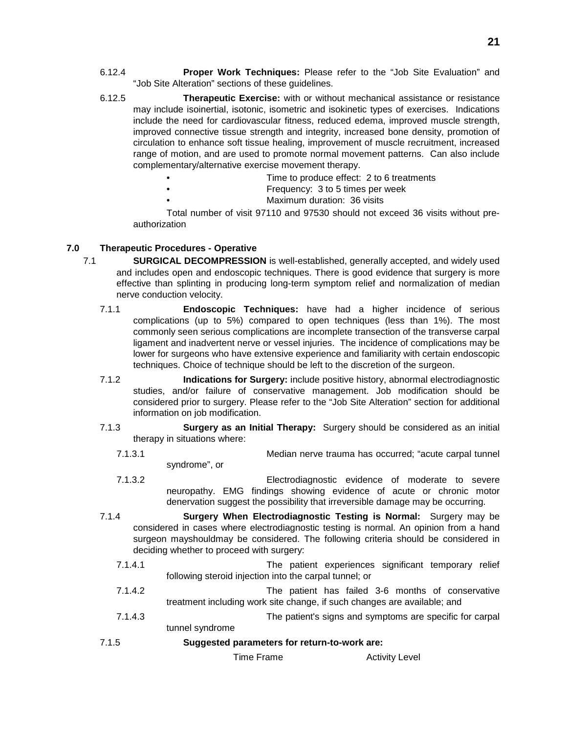- 6.12.4 **Proper Work Techniques:** Please refer to the "Job Site Evaluation" and "Job Site Alteration" sections of these guidelines.
- 6.12.5 **Therapeutic Exercise:** with or without mechanical assistance or resistance may include isoinertial, isotonic, isometric and isokinetic types of exercises. Indications include the need for cardiovascular fitness, reduced edema, improved muscle strength, improved connective tissue strength and integrity, increased bone density, promotion of circulation to enhance soft tissue healing, improvement of muscle recruitment, increased range of motion, and are used to promote normal movement patterns. Can also include complementary/alternative exercise movement therapy.
	- Time to produce effect: 2 to 6 treatments
		- Frequency: 3 to 5 times per week
			- Maximum duration: 36 visits

Total number of visit 97110 and 97530 should not exceed 36 visits without preauthorization

## **7.0 Therapeutic Procedures - Operative**

- 7.1 **SURGICAL DECOMPRESSION** is well-established, generally accepted, and widely used and includes open and endoscopic techniques. There is good evidence that surgery is more effective than splinting in producing long-term symptom relief and normalization of median nerve conduction velocity.
	- 7.1.1 **Endoscopic Techniques:** have had a higher incidence of serious complications (up to 5%) compared to open techniques (less than 1%). The most commonly seen serious complications are incomplete transection of the transverse carpal ligament and inadvertent nerve or vessel injuries. The incidence of complications may be lower for surgeons who have extensive experience and familiarity with certain endoscopic techniques. Choice of technique should be left to the discretion of the surgeon.
	- 7.1.2 **Indications for Surgery:** include positive history, abnormal electrodiagnostic studies, and/or failure of conservative management. Job modification should be considered prior to surgery. Please refer to the "Job Site Alteration" section for additional information on job modification.
	- 7.1.3 **Surgery as an Initial Therapy:** Surgery should be considered as an initial therapy in situations where:
		- 7.1.3.1 Median nerve trauma has occurred; "acute carpal tunnel syndrome", or
		- 7.1.3.2 Electrodiagnostic evidence of moderate to severe neuropathy. EMG findings showing evidence of acute or chronic motor denervation suggest the possibility that irreversible damage may be occurring.
	- 7.1.4 **Surgery When Electrodiagnostic Testing is Normal:** Surgery may be considered in cases where electrodiagnostic testing is normal. An opinion from a hand surgeon mayshouldmay be considered. The following criteria should be considered in deciding whether to proceed with surgery:
		- 7.1.4.1 The patient experiences significant temporary relief following steroid injection into the carpal tunnel; or
		- 7.1.4.2 The patient has failed 3-6 months of conservative treatment including work site change, if such changes are available; and
		- 7.1.4.3 The patient's signs and symptoms are specific for carpal tunnel syndrome
	- 7.1.5 **Suggested parameters for return-to-work are:**

Time Frame **Activity** Level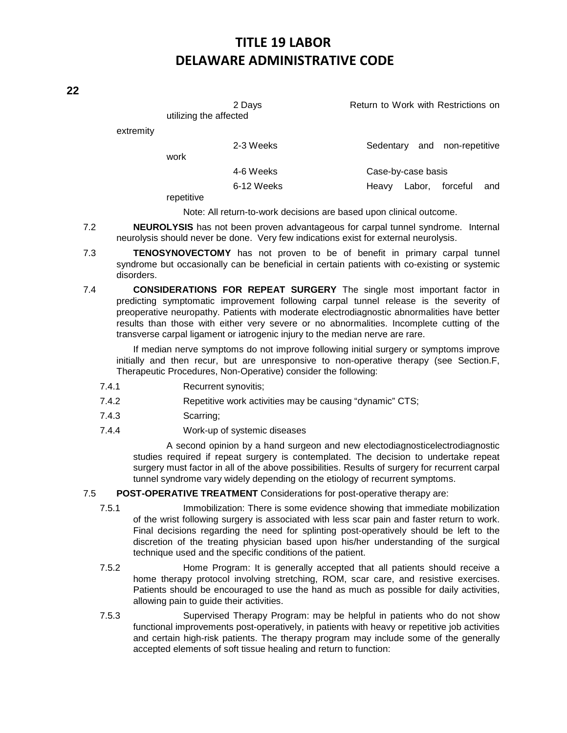2 Days **Return to Work with Restrictions on** utilizing the affected

extremity

| work                     | 2-3 Weeks  |                    |  | Sedentary and non-repetitive |     |
|--------------------------|------------|--------------------|--|------------------------------|-----|
|                          | 4-6 Weeks  | Case-by-case basis |  |                              |     |
|                          | 6-12 Weeks | Heavy              |  | Labor, forceful              | and |
| the contract of the con- |            |                    |  |                              |     |

repetitive

Note: All return-to-work decisions are based upon clinical outcome.

- 7.2 **NEUROLYSIS** has not been proven advantageous for carpal tunnel syndrome. Internal neurolysis should never be done. Very few indications exist for external neurolysis.
- 7.3 **TENOSYNOVECTOMY** has not proven to be of benefit in primary carpal tunnel syndrome but occasionally can be beneficial in certain patients with co-existing or systemic disorders.
- 7.4 **CONSIDERATIONS FOR REPEAT SURGERY** The single most important factor in predicting symptomatic improvement following carpal tunnel release is the severity of preoperative neuropathy. Patients with moderate electrodiagnostic abnormalities have better results than those with either very severe or no abnormalities. Incomplete cutting of the transverse carpal ligament or iatrogenic injury to the median nerve are rare.

If median nerve symptoms do not improve following initial surgery or symptoms improve initially and then recur, but are unresponsive to non-operative therapy (see Section.F, Therapeutic Procedures, Non-Operative) consider the following:

- 7.4.1 Recurrent synovitis;
- 7.4.2 Repetitive work activities may be causing "dynamic" CTS;
- 7.4.3 Scarring;
- 7.4.4 Work-up of systemic diseases

A second opinion by a hand surgeon and new electodiagnosticelectrodiagnostic studies required if repeat surgery is contemplated. The decision to undertake repeat surgery must factor in all of the above possibilities. Results of surgery for recurrent carpal tunnel syndrome vary widely depending on the etiology of recurrent symptoms.

## 7.5 **POST-OPERATIVE TREATMENT** Considerations for post-operative therapy are:

- 7.5.1 Immobilization: There is some evidence showing that immediate mobilization of the wrist following surgery is associated with less scar pain and faster return to work. Final decisions regarding the need for splinting post-operatively should be left to the discretion of the treating physician based upon his/her understanding of the surgical technique used and the specific conditions of the patient.
- 7.5.2 Home Program: It is generally accepted that all patients should receive a home therapy protocol involving stretching, ROM, scar care, and resistive exercises. Patients should be encouraged to use the hand as much as possible for daily activities, allowing pain to guide their activities.
- 7.5.3 Supervised Therapy Program: may be helpful in patients who do not show functional improvements post-operatively, in patients with heavy or repetitive job activities and certain high-risk patients. The therapy program may include some of the generally accepted elements of soft tissue healing and return to function:

**22**